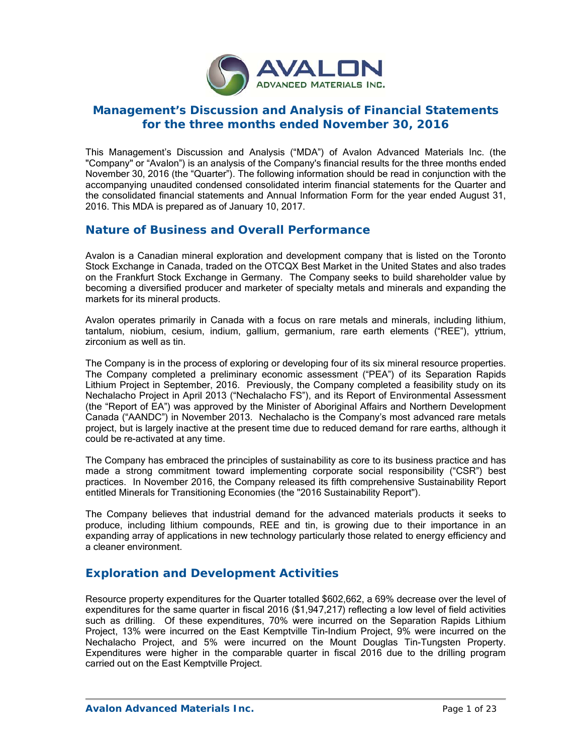

# **Management's Discussion and Analysis of Financial Statements for the three months ended November 30, 2016**

This Management's Discussion and Analysis ("MDA") of Avalon Advanced Materials Inc. (the "Company" or "Avalon") is an analysis of the Company's financial results for the three months ended November 30, 2016 (the "Quarter"). The following information should be read in conjunction with the accompanying unaudited condensed consolidated interim financial statements for the Quarter and the consolidated financial statements and Annual Information Form for the year ended August 31, 2016. This MDA is prepared as of January 10, 2017.

# **Nature of Business and Overall Performance**

Avalon is a Canadian mineral exploration and development company that is listed on the Toronto Stock Exchange in Canada, traded on the OTCQX Best Market in the United States and also trades on the Frankfurt Stock Exchange in Germany. The Company seeks to build shareholder value by becoming a diversified producer and marketer of specialty metals and minerals and expanding the markets for its mineral products.

Avalon operates primarily in Canada with a focus on rare metals and minerals, including lithium, tantalum, niobium, cesium, indium, gallium, germanium, rare earth elements ("REE"), yttrium, zirconium as well as tin.

The Company is in the process of exploring or developing four of its six mineral resource properties. The Company completed a preliminary economic assessment ("PEA") of its Separation Rapids Lithium Project in September, 2016. Previously, the Company completed a feasibility study on its Nechalacho Project in April 2013 ("Nechalacho FS"), and its Report of Environmental Assessment (the "Report of EA") was approved by the Minister of Aboriginal Affairs and Northern Development Canada ("AANDC") in November 2013. Nechalacho is the Company's most advanced rare metals project, but is largely inactive at the present time due to reduced demand for rare earths, although it could be re-activated at any time.

The Company has embraced the principles of sustainability as core to its business practice and has made a strong commitment toward implementing corporate social responsibility ("CSR") best practices. In November 2016, the Company released its fifth comprehensive Sustainability Report entitled Minerals for Transitioning Economies (the "2016 Sustainability Report").

The Company believes that industrial demand for the advanced materials products it seeks to produce, including lithium compounds, REE and tin, is growing due to their importance in an expanding array of applications in new technology particularly those related to energy efficiency and a cleaner environment.

# **Exploration and Development Activities**

Resource property expenditures for the Quarter totalled \$602,662, a 69% decrease over the level of expenditures for the same quarter in fiscal 2016 (\$1,947,217) reflecting a low level of field activities such as drilling. Of these expenditures, 70% were incurred on the Separation Rapids Lithium Project, 13% were incurred on the East Kemptville Tin-Indium Project, 9% were incurred on the Nechalacho Project, and 5% were incurred on the Mount Douglas Tin-Tungsten Property. Expenditures were higher in the comparable quarter in fiscal 2016 due to the drilling program carried out on the East Kemptville Project.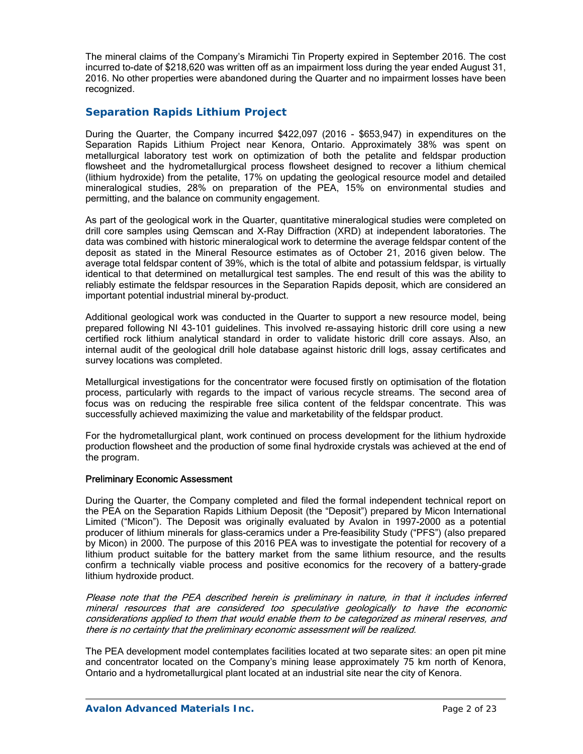The mineral claims of the Company's Miramichi Tin Property expired in September 2016. The cost incurred to-date of \$218,620 was written off as an impairment loss during the year ended August 31, 2016. No other properties were abandoned during the Quarter and no impairment losses have been recognized.

# *Separation Rapids Lithium Project*

During the Quarter, the Company incurred \$422,097 (2016 - \$653,947) in expenditures on the Separation Rapids Lithium Project near Kenora, Ontario. Approximately 38% was spent on metallurgical laboratory test work on optimization of both the petalite and feldspar production flowsheet and the hydrometallurgical process flowsheet designed to recover a lithium chemical (lithium hydroxide) from the petalite, 17% on updating the geological resource model and detailed mineralogical studies, 28% on preparation of the PEA, 15% on environmental studies and permitting, and the balance on community engagement.

As part of the geological work in the Quarter, quantitative mineralogical studies were completed on drill core samples using Qemscan and X-Ray Diffraction (XRD) at independent laboratories. The data was combined with historic mineralogical work to determine the average feldspar content of the deposit as stated in the Mineral Resource estimates as of October 21, 2016 given below. The average total feldspar content of 39%, which is the total of albite and potassium feldspar, is virtually identical to that determined on metallurgical test samples. The end result of this was the ability to reliably estimate the feldspar resources in the Separation Rapids deposit, which are considered an important potential industrial mineral by-product.

Additional geological work was conducted in the Quarter to support a new resource model, being prepared following NI 43-101 guidelines. This involved re-assaying historic drill core using a new certified rock lithium analytical standard in order to validate historic drill core assays. Also, an internal audit of the geological drill hole database against historic drill logs, assay certificates and survey locations was completed.

Metallurgical investigations for the concentrator were focused firstly on optimisation of the flotation process, particularly with regards to the impact of various recycle streams. The second area of focus was on reducing the respirable free silica content of the feldspar concentrate. This was successfully achieved maximizing the value and marketability of the feldspar product.

For the hydrometallurgical plant, work continued on process development for the lithium hydroxide production flowsheet and the production of some final hydroxide crystals was achieved at the end of the program.

### Preliminary Economic Assessment

During the Quarter, the Company completed and filed the formal independent technical report on the PEA on the Separation Rapids Lithium Deposit (the "Deposit") prepared by Micon International Limited ("Micon"). The Deposit was originally evaluated by Avalon in 1997-2000 as a potential producer of lithium minerals for glass-ceramics under a Pre-feasibility Study ("PFS") (also prepared by Micon) in 2000. The purpose of this 2016 PEA was to investigate the potential for recovery of a lithium product suitable for the battery market from the same lithium resource, and the results confirm a technically viable process and positive economics for the recovery of a battery-grade lithium hydroxide product.

Please note that the PEA described herein is preliminary in nature, in that it includes inferred mineral resources that are considered too speculative geologically to have the economic considerations applied to them that would enable them to be categorized as mineral reserves, and there is no certainty that the preliminary economic assessment will be realized.

The PEA development model contemplates facilities located at two separate sites: an open pit mine and concentrator located on the Company's mining lease approximately 75 km north of Kenora, Ontario and a hydrometallurgical plant located at an industrial site near the city of Kenora.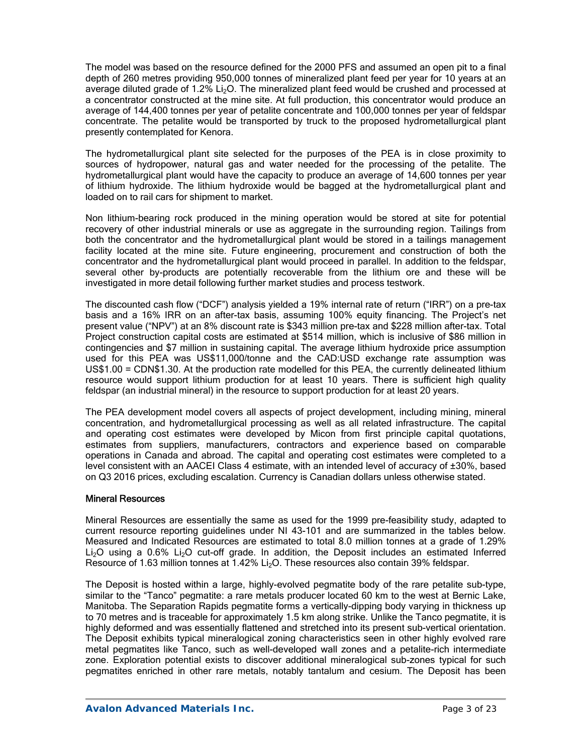The model was based on the resource defined for the 2000 PFS and assumed an open pit to a final depth of 260 metres providing 950,000 tonnes of mineralized plant feed per year for 10 years at an average diluted grade of 1.2%  $Li<sub>2</sub>O$ . The mineralized plant feed would be crushed and processed at a concentrator constructed at the mine site. At full production, this concentrator would produce an average of 144,400 tonnes per year of petalite concentrate and 100,000 tonnes per year of feldspar concentrate. The petalite would be transported by truck to the proposed hydrometallurgical plant presently contemplated for Kenora.

The hydrometallurgical plant site selected for the purposes of the PEA is in close proximity to sources of hydropower, natural gas and water needed for the processing of the petalite. The hydrometallurgical plant would have the capacity to produce an average of 14,600 tonnes per year of lithium hydroxide. The lithium hydroxide would be bagged at the hydrometallurgical plant and loaded on to rail cars for shipment to market.

Non lithium-bearing rock produced in the mining operation would be stored at site for potential recovery of other industrial minerals or use as aggregate in the surrounding region. Tailings from both the concentrator and the hydrometallurgical plant would be stored in a tailings management facility located at the mine site. Future engineering, procurement and construction of both the concentrator and the hydrometallurgical plant would proceed in parallel. In addition to the feldspar, several other by-products are potentially recoverable from the lithium ore and these will be investigated in more detail following further market studies and process testwork.

The discounted cash flow ("DCF") analysis yielded a 19% internal rate of return ("IRR") on a pre-tax basis and a 16% IRR on an after-tax basis, assuming 100% equity financing. The Project's net present value ("NPV") at an 8% discount rate is \$343 million pre-tax and \$228 million after-tax. Total Project construction capital costs are estimated at \$514 million, which is inclusive of \$86 million in contingencies and \$7 million in sustaining capital. The average lithium hydroxide price assumption used for this PEA was US\$11,000/tonne and the CAD:USD exchange rate assumption was US\$1.00 = CDN\$1.30. At the production rate modelled for this PEA, the currently delineated lithium resource would support lithium production for at least 10 years. There is sufficient high quality feldspar (an industrial mineral) in the resource to support production for at least 20 years.

The PEA development model covers all aspects of project development, including mining, mineral concentration, and hydrometallurgical processing as well as all related infrastructure. The capital and operating cost estimates were developed by Micon from first principle capital quotations, estimates from suppliers, manufacturers, contractors and experience based on comparable operations in Canada and abroad. The capital and operating cost estimates were completed to a level consistent with an AACEI Class 4 estimate, with an intended level of accuracy of  $\pm 30\%$ , based on Q3 2016 prices, excluding escalation. Currency is Canadian dollars unless otherwise stated.

### Mineral Resources

Mineral Resources are essentially the same as used for the 1999 pre-feasibility study, adapted to current resource reporting guidelines under NI 43-101 and are summarized in the tables below. Measured and Indicated Resources are estimated to total 8.0 million tonnes at a grade of 1.29% Li<sub>2</sub>O using a 0.6% Li<sub>2</sub>O cut-off grade. In addition, the Deposit includes an estimated Inferred Resource of 1.63 million tonnes at 1.42% Li<sub>2</sub>O. These resources also contain 39% feldspar.

The Deposit is hosted within a large, highly-evolved pegmatite body of the rare petalite sub-type, similar to the "Tanco" pegmatite: a rare metals producer located 60 km to the west at Bernic Lake, Manitoba. The Separation Rapids pegmatite forms a vertically-dipping body varying in thickness up to 70 metres and is traceable for approximately 1.5 km along strike. Unlike the Tanco pegmatite, it is highly deformed and was essentially flattened and stretched into its present sub-vertical orientation. The Deposit exhibits typical mineralogical zoning characteristics seen in other highly evolved rare metal pegmatites like Tanco, such as well-developed wall zones and a petalite-rich intermediate zone. Exploration potential exists to discover additional mineralogical sub-zones typical for such pegmatites enriched in other rare metals, notably tantalum and cesium. The Deposit has been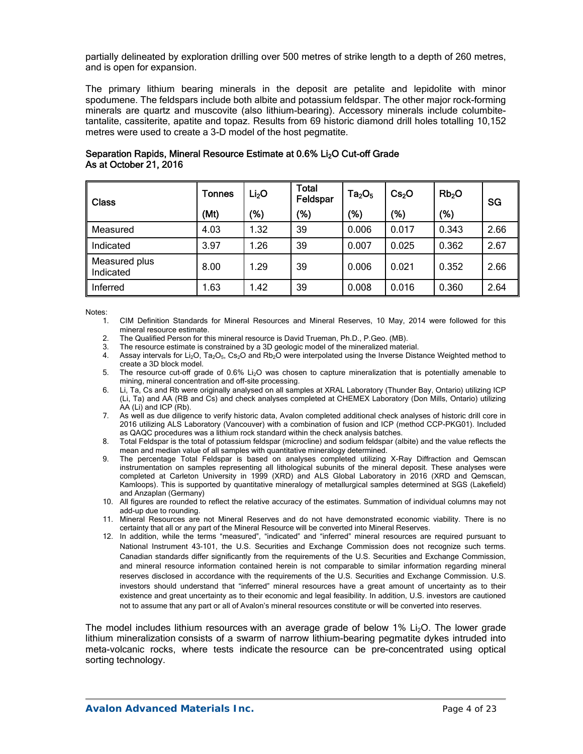partially delineated by exploration drilling over 500 metres of strike length to a depth of 260 metres, and is open for expansion.

The primary lithium bearing minerals in the deposit are petalite and lepidolite with minor spodumene. The feldspars include both albite and potassium feldspar. The other major rock-forming minerals are quartz and muscovite (also lithium-bearing). Accessory minerals include columbitetantalite, cassiterite, apatite and topaz. Results from 69 historic diamond drill holes totalling 10,152 metres were used to create a 3-D model of the host pegmatite.

| <b>Class</b>               | <b>Tonnes</b> | Li <sub>2</sub> O | Total<br>Feldspar | Ta <sub>2</sub> O <sub>5</sub> | Cs <sub>2</sub> O | Rb <sub>2</sub> O | SG   |  |
|----------------------------|---------------|-------------------|-------------------|--------------------------------|-------------------|-------------------|------|--|
|                            | (Mt)          | '%)               | (%)               | (% )                           | (%)               | (%)               |      |  |
| Measured                   | 4.03          | .32               | 39                | 0.006                          | 0.017             | 0.343             | 2.66 |  |
| Indicated                  | 3.97          | .26               | 39                | 0.007                          | 0.025             | 0.362             | 2.67 |  |
| Measured plus<br>Indicated | 8.00          | .29               | 39                | 0.006                          | 0.021             | 0.352             | 2.66 |  |
| Inferred                   | 1.63          | .42               | 39                | 0.008                          | 0.016             | 0.360             | 2.64 |  |

## Separation Rapids, Mineral Resource Estimate at 0.6% Li<sub>2</sub>O Cut-off Grade As at October 21, 2016

Notes:

- 1. CIM Definition Standards for Mineral Resources and Mineral Reserves, 10 May, 2014 were followed for this mineral resource estimate.
- 2. The Qualified Person for this mineral resource is David Trueman, Ph.D., P.Geo. (MB).
- 3. The resource estimate is constrained by a 3D geologic model of the mineralized material.
- 4. Assay intervals for Li<sub>2</sub>O, Ta<sub>2</sub>O<sub>5</sub>, Cs<sub>2</sub>O and Rb<sub>2</sub>O were interpolated using the Inverse Distance Weighted method to create a 3D block model.
- 5. The resource cut-off grade of 0.6% Li2O was chosen to capture mineralization that is potentially amenable to mining, mineral concentration and off-site processing.
- 6. Li, Ta, Cs and Rb were originally analysed on all samples at XRAL Laboratory (Thunder Bay, Ontario) utilizing ICP (Li, Ta) and AA (RB and Cs) and check analyses completed at CHEMEX Laboratory (Don Mills, Ontario) utilizing AA (Li) and ICP (Rb).
- 7. As well as due diligence to verify historic data, Avalon completed additional check analyses of historic drill core in 2016 utilizing ALS Laboratory (Vancouver) with a combination of fusion and ICP (method CCP-PKG01). Included as QAQC procedures was a lithium rock standard within the check analysis batches.
- 8. Total Feldspar is the total of potassium feldspar (microcline) and sodium feldspar (albite) and the value reflects the mean and median value of all samples with quantitative mineralogy determined.
- 9. The percentage Total Feldspar is based on analyses completed utilizing X-Ray Diffraction and Qemscan instrumentation on samples representing all lithological subunits of the mineral deposit. These analyses were completed at Carleton University in 1999 (XRD) and ALS Global Laboratory in 2016 (XRD and Qemscan, Kamloops). This is supported by quantitative mineralogy of metallurgical samples determined at SGS (Lakefield) and Anzaplan (Germany)
- 10. All figures are rounded to reflect the relative accuracy of the estimates. Summation of individual columns may not add-up due to rounding.
- 11. Mineral Resources are not Mineral Reserves and do not have demonstrated economic viability. There is no certainty that all or any part of the Mineral Resource will be converted into Mineral Reserves.
- 12. In addition, while the terms "measured", "indicated" and "inferred" mineral resources are required pursuant to National Instrument 43-101, the U.S. Securities and Exchange Commission does not recognize such terms. Canadian standards differ significantly from the requirements of the U.S. Securities and Exchange Commission, and mineral resource information contained herein is not comparable to similar information regarding mineral reserves disclosed in accordance with the requirements of the U.S. Securities and Exchange Commission. U.S. investors should understand that "inferred" mineral resources have a great amount of uncertainty as to their existence and great uncertainty as to their economic and legal feasibility. In addition, U.S. investors are cautioned not to assume that any part or all of Avalon's mineral resources constitute or will be converted into reserves.

The model includes lithium resources with an average grade of below 1% Li<sub>2</sub>O. The lower grade lithium mineralization consists of a swarm of narrow lithium-bearing pegmatite dykes intruded into meta-volcanic rocks, where tests indicate the resource can be pre-concentrated using optical sorting technology.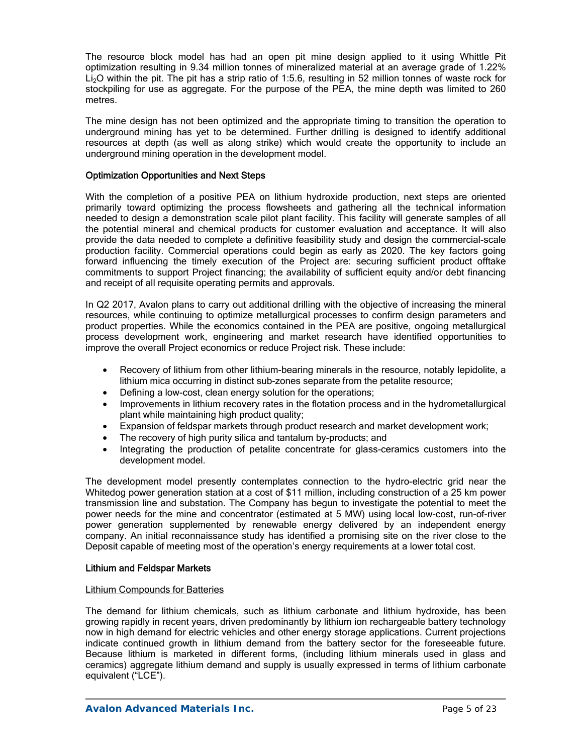The resource block model has had an open pit mine design applied to it using Whittle Pit optimization resulting in 9.34 million tonnes of mineralized material at an average grade of 1.22% Li<sub>2</sub>O within the pit. The pit has a strip ratio of 1:5.6, resulting in 52 million tonnes of waste rock for stockpiling for use as aggregate. For the purpose of the PEA, the mine depth was limited to 260 metres.

The mine design has not been optimized and the appropriate timing to transition the operation to underground mining has yet to be determined. Further drilling is designed to identify additional resources at depth (as well as along strike) which would create the opportunity to include an underground mining operation in the development model.

### Optimization Opportunities and Next Steps

With the completion of a positive PEA on lithium hydroxide production, next steps are oriented primarily toward optimizing the process flowsheets and gathering all the technical information needed to design a demonstration scale pilot plant facility. This facility will generate samples of all the potential mineral and chemical products for customer evaluation and acceptance. It will also provide the data needed to complete a definitive feasibility study and design the commercial-scale production facility. Commercial operations could begin as early as 2020. The key factors going forward influencing the timely execution of the Project are: securing sufficient product offtake commitments to support Project financing; the availability of sufficient equity and/or debt financing and receipt of all requisite operating permits and approvals.

In Q2 2017, Avalon plans to carry out additional drilling with the objective of increasing the mineral resources, while continuing to optimize metallurgical processes to confirm design parameters and product properties. While the economics contained in the PEA are positive, ongoing metallurgical process development work, engineering and market research have identified opportunities to improve the overall Project economics or reduce Project risk. These include:

- Recovery of lithium from other lithium-bearing minerals in the resource, notably lepidolite, a lithium mica occurring in distinct sub-zones separate from the petalite resource;
- Defining a low-cost, clean energy solution for the operations;
- Improvements in lithium recovery rates in the flotation process and in the hydrometallurgical plant while maintaining high product quality;
- Expansion of feldspar markets through product research and market development work;
- The recovery of high purity silica and tantalum by-products; and
- Integrating the production of petalite concentrate for glass-ceramics customers into the development model.

The development model presently contemplates connection to the hydro-electric grid near the Whitedog power generation station at a cost of \$11 million, including construction of a 25 km power transmission line and substation. The Company has begun to investigate the potential to meet the power needs for the mine and concentrator (estimated at 5 MW) using local low-cost, run-of-river power generation supplemented by renewable energy delivered by an independent energy company. An initial reconnaissance study has identified a promising site on the river close to the Deposit capable of meeting most of the operation's energy requirements at a lower total cost.

### Lithium and Feldspar Markets

### Lithium Compounds for Batteries

The demand for lithium chemicals, such as lithium carbonate and lithium hydroxide, has been growing rapidly in recent years, driven predominantly by lithium ion rechargeable battery technology now in high demand for electric vehicles and other energy storage applications. Current projections indicate continued growth in lithium demand from the battery sector for the foreseeable future. Because lithium is marketed in different forms, (including lithium minerals used in glass and ceramics) aggregate lithium demand and supply is usually expressed in terms of lithium carbonate equivalent ("LCE").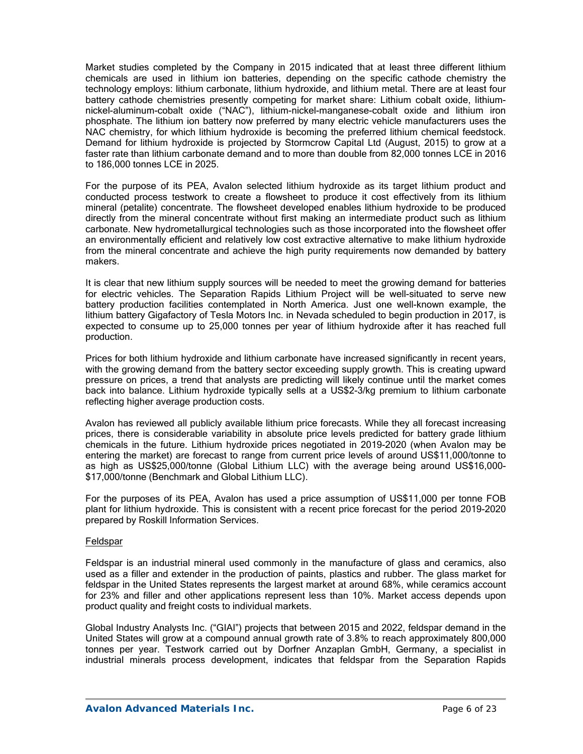Market studies completed by the Company in 2015 indicated that at least three different lithium chemicals are used in lithium ion batteries, depending on the specific cathode chemistry the technology employs: lithium carbonate, lithium hydroxide, and lithium metal. There are at least four battery cathode chemistries presently competing for market share: Lithium cobalt oxide, lithiumnickel-aluminum-cobalt oxide ("NAC"), lithium-nickel-manganese-cobalt oxide and lithium iron phosphate. The lithium ion battery now preferred by many electric vehicle manufacturers uses the NAC chemistry, for which lithium hydroxide is becoming the preferred lithium chemical feedstock. Demand for lithium hydroxide is projected by Stormcrow Capital Ltd (August, 2015) to grow at a faster rate than lithium carbonate demand and to more than double from 82,000 tonnes LCE in 2016 to 186,000 tonnes LCE in 2025.

For the purpose of its PEA, Avalon selected lithium hydroxide as its target lithium product and conducted process testwork to create a flowsheet to produce it cost effectively from its lithium mineral (petalite) concentrate. The flowsheet developed enables lithium hydroxide to be produced directly from the mineral concentrate without first making an intermediate product such as lithium carbonate. New hydrometallurgical technologies such as those incorporated into the flowsheet offer an environmentally efficient and relatively low cost extractive alternative to make lithium hydroxide from the mineral concentrate and achieve the high purity requirements now demanded by battery makers.

It is clear that new lithium supply sources will be needed to meet the growing demand for batteries for electric vehicles. The Separation Rapids Lithium Project will be well-situated to serve new battery production facilities contemplated in North America. Just one well-known example, the lithium battery Gigafactory of Tesla Motors Inc. in Nevada scheduled to begin production in 2017, is expected to consume up to 25,000 tonnes per year of lithium hydroxide after it has reached full production.

Prices for both lithium hydroxide and lithium carbonate have increased significantly in recent years, with the growing demand from the battery sector exceeding supply growth. This is creating upward pressure on prices, a trend that analysts are predicting will likely continue until the market comes back into balance. Lithium hydroxide typically sells at a US\$2-3/kg premium to lithium carbonate reflecting higher average production costs.

Avalon has reviewed all publicly available lithium price forecasts. While they all forecast increasing prices, there is considerable variability in absolute price levels predicted for battery grade lithium chemicals in the future. Lithium hydroxide prices negotiated in 2019-2020 (when Avalon may be entering the market) are forecast to range from current price levels of around US\$11,000/tonne to as high as US\$25,000/tonne (Global Lithium LLC) with the average being around US\$16,000- \$17,000/tonne (Benchmark and Global Lithium LLC).

For the purposes of its PEA, Avalon has used a price assumption of US\$11,000 per tonne FOB plant for lithium hydroxide. This is consistent with a recent price forecast for the period 2019-2020 prepared by Roskill Information Services.

### Feldspar

Feldspar is an industrial mineral used commonly in the manufacture of glass and ceramics, also used as a filler and extender in the production of paints, plastics and rubber. The glass market for feldspar in the United States represents the largest market at around 68%, while ceramics account for 23% and filler and other applications represent less than 10%. Market access depends upon product quality and freight costs to individual markets.

Global Industry Analysts Inc. ("GIAI") projects that between 2015 and 2022, feldspar demand in the United States will grow at a compound annual growth rate of 3.8% to reach approximately 800,000 tonnes per year. Testwork carried out by Dorfner Anzaplan GmbH, Germany, a specialist in industrial minerals process development, indicates that feldspar from the Separation Rapids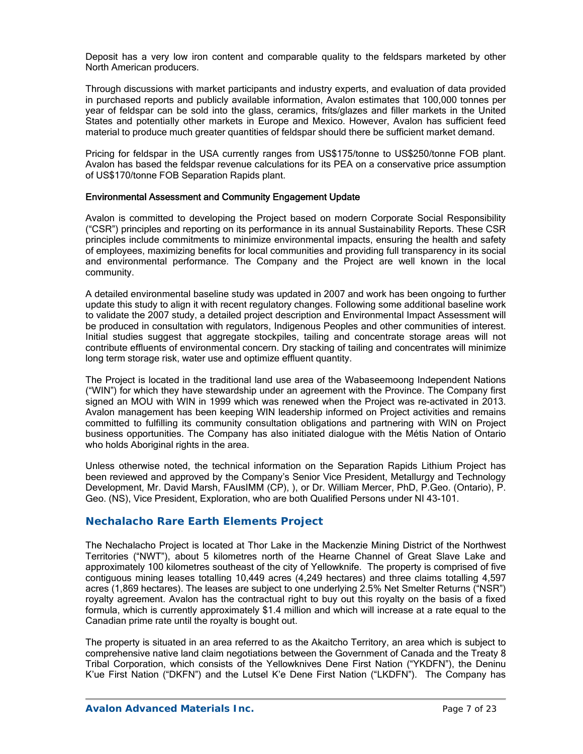Deposit has a very low iron content and comparable quality to the feldspars marketed by other North American producers.

Through discussions with market participants and industry experts, and evaluation of data provided in purchased reports and publicly available information, Avalon estimates that 100,000 tonnes per year of feldspar can be sold into the glass, ceramics, frits/glazes and filler markets in the United States and potentially other markets in Europe and Mexico. However, Avalon has sufficient feed material to produce much greater quantities of feldspar should there be sufficient market demand.

Pricing for feldspar in the USA currently ranges from US\$175/tonne to US\$250/tonne FOB plant. Avalon has based the feldspar revenue calculations for its PEA on a conservative price assumption of US\$170/tonne FOB Separation Rapids plant.

### Environmental Assessment and Community Engagement Update

Avalon is committed to developing the Project based on modern Corporate Social Responsibility ("CSR") principles and reporting on its performance in its annual Sustainability Reports. These CSR principles include commitments to minimize environmental impacts, ensuring the health and safety of employees, maximizing benefits for local communities and providing full transparency in its social and environmental performance. The Company and the Project are well known in the local community.

A detailed environmental baseline study was updated in 2007 and work has been ongoing to further update this study to align it with recent regulatory changes. Following some additional baseline work to validate the 2007 study, a detailed project description and Environmental Impact Assessment will be produced in consultation with regulators, Indigenous Peoples and other communities of interest. Initial studies suggest that aggregate stockpiles, tailing and concentrate storage areas will not contribute effluents of environmental concern. Dry stacking of tailing and concentrates will minimize long term storage risk, water use and optimize effluent quantity.

The Project is located in the traditional land use area of the Wabaseemoong Independent Nations ("WIN") for which they have stewardship under an agreement with the Province. The Company first signed an MOU with WIN in 1999 which was renewed when the Project was re-activated in 2013. Avalon management has been keeping WIN leadership informed on Project activities and remains committed to fulfilling its community consultation obligations and partnering with WIN on Project business opportunities. The Company has also initiated dialogue with the Métis Nation of Ontario who holds Aboriginal rights in the area.

Unless otherwise noted, the technical information on the Separation Rapids Lithium Project has been reviewed and approved by the Company's Senior Vice President, Metallurgy and Technology Development, Mr. David Marsh, FAusIMM (CP), ), or Dr. William Mercer, PhD, P.Geo. (Ontario), P. Geo. (NS), Vice President, Exploration, who are both Qualified Persons under NI 43-101.

## **Nechalacho Rare Earth Elements Project**

The Nechalacho Project is located at Thor Lake in the Mackenzie Mining District of the Northwest Territories ("NWT"), about 5 kilometres north of the Hearne Channel of Great Slave Lake and approximately 100 kilometres southeast of the city of Yellowknife. The property is comprised of five contiguous mining leases totalling 10,449 acres (4,249 hectares) and three claims totalling 4,597 acres (1,869 hectares). The leases are subject to one underlying 2.5% Net Smelter Returns ("NSR") royalty agreement. Avalon has the contractual right to buy out this royalty on the basis of a fixed formula, which is currently approximately \$1.4 million and which will increase at a rate equal to the Canadian prime rate until the royalty is bought out.

The property is situated in an area referred to as the Akaitcho Territory, an area which is subject to comprehensive native land claim negotiations between the Government of Canada and the Treaty 8 Tribal Corporation, which consists of the Yellowknives Dene First Nation ("YKDFN"), the Deninu K'ue First Nation ("DKFN") and the Lutsel K'e Dene First Nation ("LKDFN"). The Company has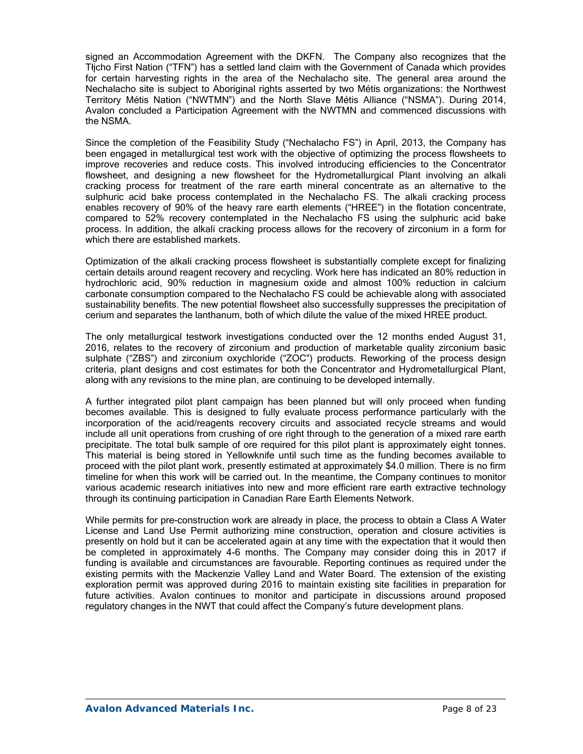signed an Accommodation Agreement with the DKFN. The Company also recognizes that the Tłįcho First Nation ("TFN") has a settled land claim with the Government of Canada which provides for certain harvesting rights in the area of the Nechalacho site. The general area around the Nechalacho site is subject to Aboriginal rights asserted by two Métis organizations: the Northwest Territory Métis Nation ("NWTMN") and the North Slave Métis Alliance ("NSMA"). During 2014, Avalon concluded a Participation Agreement with the NWTMN and commenced discussions with the NSMA.

Since the completion of the Feasibility Study ("Nechalacho FS") in April, 2013, the Company has been engaged in metallurgical test work with the objective of optimizing the process flowsheets to improve recoveries and reduce costs. This involved introducing efficiencies to the Concentrator flowsheet, and designing a new flowsheet for the Hydrometallurgical Plant involving an alkali cracking process for treatment of the rare earth mineral concentrate as an alternative to the sulphuric acid bake process contemplated in the Nechalacho FS. The alkali cracking process enables recovery of 90% of the heavy rare earth elements ("HREE") in the flotation concentrate, compared to 52% recovery contemplated in the Nechalacho FS using the sulphuric acid bake process. In addition, the alkali cracking process allows for the recovery of zirconium in a form for which there are established markets.

Optimization of the alkali cracking process flowsheet is substantially complete except for finalizing certain details around reagent recovery and recycling. Work here has indicated an 80% reduction in hydrochloric acid, 90% reduction in magnesium oxide and almost 100% reduction in calcium carbonate consumption compared to the Nechalacho FS could be achievable along with associated sustainability benefits. The new potential flowsheet also successfully suppresses the precipitation of cerium and separates the lanthanum, both of which dilute the value of the mixed HREE product.

The only metallurgical testwork investigations conducted over the 12 months ended August 31, 2016, relates to the recovery of zirconium and production of marketable quality zirconium basic sulphate ("ZBS") and zirconium oxychloride ("ZOC") products. Reworking of the process design criteria, plant designs and cost estimates for both the Concentrator and Hydrometallurgical Plant, along with any revisions to the mine plan, are continuing to be developed internally.

A further integrated pilot plant campaign has been planned but will only proceed when funding becomes available. This is designed to fully evaluate process performance particularly with the incorporation of the acid/reagents recovery circuits and associated recycle streams and would include all unit operations from crushing of ore right through to the generation of a mixed rare earth precipitate. The total bulk sample of ore required for this pilot plant is approximately eight tonnes. This material is being stored in Yellowknife until such time as the funding becomes available to proceed with the pilot plant work, presently estimated at approximately \$4.0 million. There is no firm timeline for when this work will be carried out. In the meantime, the Company continues to monitor various academic research initiatives into new and more efficient rare earth extractive technology through its continuing participation in Canadian Rare Earth Elements Network.

While permits for pre-construction work are already in place, the process to obtain a Class A Water License and Land Use Permit authorizing mine construction, operation and closure activities is presently on hold but it can be accelerated again at any time with the expectation that it would then be completed in approximately 4-6 months. The Company may consider doing this in 2017 if funding is available and circumstances are favourable. Reporting continues as required under the existing permits with the Mackenzie Valley Land and Water Board. The extension of the existing exploration permit was approved during 2016 to maintain existing site facilities in preparation for future activities. Avalon continues to monitor and participate in discussions around proposed regulatory changes in the NWT that could affect the Company's future development plans.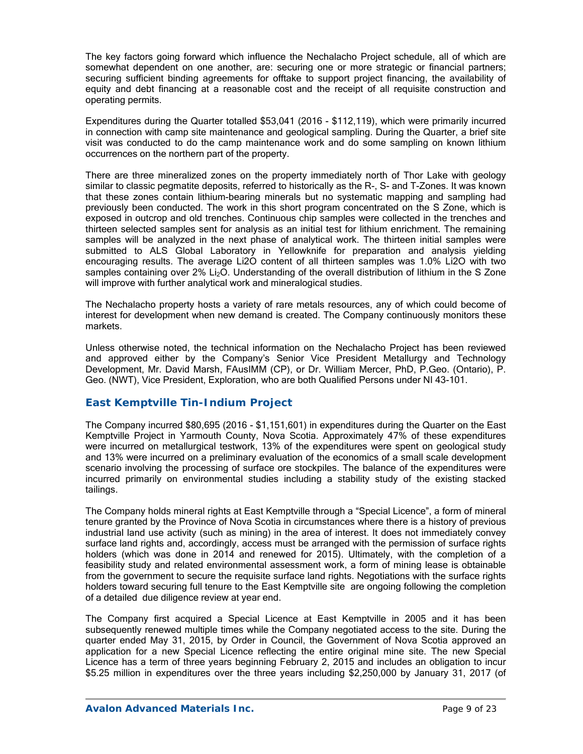The key factors going forward which influence the Nechalacho Project schedule, all of which are somewhat dependent on one another, are: securing one or more strategic or financial partners; securing sufficient binding agreements for offtake to support project financing, the availability of equity and debt financing at a reasonable cost and the receipt of all requisite construction and operating permits.

Expenditures during the Quarter totalled \$53,041 (2016 - \$112,119), which were primarily incurred in connection with camp site maintenance and geological sampling. During the Quarter, a brief site visit was conducted to do the camp maintenance work and do some sampling on known lithium occurrences on the northern part of the property.

There are three mineralized zones on the property immediately north of Thor Lake with geology similar to classic pegmatite deposits, referred to historically as the R-, S- and T-Zones. It was known that these zones contain lithium-bearing minerals but no systematic mapping and sampling had previously been conducted. The work in this short program concentrated on the S Zone, which is exposed in outcrop and old trenches. Continuous chip samples were collected in the trenches and thirteen selected samples sent for analysis as an initial test for lithium enrichment. The remaining samples will be analyzed in the next phase of analytical work. The thirteen initial samples were submitted to ALS Global Laboratory in Yellowknife for preparation and analysis yielding encouraging results. The average Li2O content of all thirteen samples was 1.0% Li2O with two samples containing over 2% Li<sub>2</sub>O. Understanding of the overall distribution of lithium in the S Zone will improve with further analytical work and mineralogical studies.

The Nechalacho property hosts a variety of rare metals resources, any of which could become of interest for development when new demand is created. The Company continuously monitors these markets.

Unless otherwise noted, the technical information on the Nechalacho Project has been reviewed and approved either by the Company's Senior Vice President Metallurgy and Technology Development, Mr. David Marsh, FAusIMM (CP), or Dr. William Mercer, PhD, P.Geo. (Ontario), P. Geo. (NWT), Vice President, Exploration, who are both Qualified Persons under NI 43-101.

## *East Kemptville Tin-Indium Project*

The Company incurred \$80,695 (2016 - \$1,151,601) in expenditures during the Quarter on the East Kemptville Project in Yarmouth County, Nova Scotia. Approximately 47% of these expenditures were incurred on metallurgical testwork, 13% of the expenditures were spent on geological study and 13% were incurred on a preliminary evaluation of the economics of a small scale development scenario involving the processing of surface ore stockpiles. The balance of the expenditures were incurred primarily on environmental studies including a stability study of the existing stacked tailings.

The Company holds mineral rights at East Kemptville through a "Special Licence", a form of mineral tenure granted by the Province of Nova Scotia in circumstances where there is a history of previous industrial land use activity (such as mining) in the area of interest. It does not immediately convey surface land rights and, accordingly, access must be arranged with the permission of surface rights holders (which was done in 2014 and renewed for 2015). Ultimately, with the completion of a feasibility study and related environmental assessment work, a form of mining lease is obtainable from the government to secure the requisite surface land rights. Negotiations with the surface rights holders toward securing full tenure to the East Kemptville site are ongoing following the completion of a detailed due diligence review at year end.

The Company first acquired a Special Licence at East Kemptville in 2005 and it has been subsequently renewed multiple times while the Company negotiated access to the site. During the quarter ended May 31, 2015, by Order in Council, the Government of Nova Scotia approved an application for a new Special Licence reflecting the entire original mine site. The new Special Licence has a term of three years beginning February 2, 2015 and includes an obligation to incur \$5.25 million in expenditures over the three years including \$2,250,000 by January 31, 2017 (of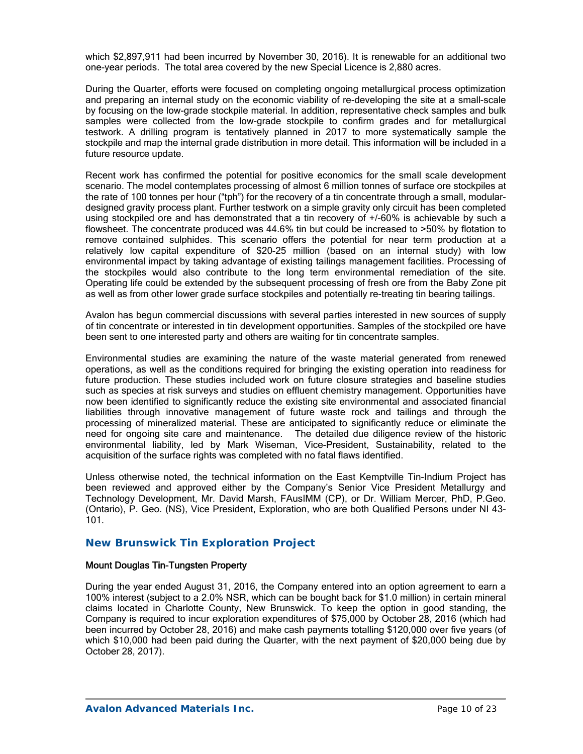which \$2,897,911 had been incurred by November 30, 2016). It is renewable for an additional two one-year periods. The total area covered by the new Special Licence is 2,880 acres.

During the Quarter, efforts were focused on completing ongoing metallurgical process optimization and preparing an internal study on the economic viability of re-developing the site at a small-scale by focusing on the low-grade stockpile material. In addition, representative check samples and bulk samples were collected from the low-grade stockpile to confirm grades and for metallurgical testwork. A drilling program is tentatively planned in 2017 to more systematically sample the stockpile and map the internal grade distribution in more detail. This information will be included in a future resource update.

Recent work has confirmed the potential for positive economics for the small scale development scenario. The model contemplates processing of almost 6 million tonnes of surface ore stockpiles at the rate of 100 tonnes per hour ("tph") for the recovery of a tin concentrate through a small, modulardesigned gravity process plant. Further testwork on a simple gravity only circuit has been completed using stockpiled ore and has demonstrated that a tin recovery of +/-60% is achievable by such a flowsheet. The concentrate produced was 44.6% tin but could be increased to >50% by flotation to remove contained sulphides. This scenario offers the potential for near term production at a relatively low capital expenditure of \$20-25 million (based on an internal study) with low environmental impact by taking advantage of existing tailings management facilities. Processing of the stockpiles would also contribute to the long term environmental remediation of the site. Operating life could be extended by the subsequent processing of fresh ore from the Baby Zone pit as well as from other lower grade surface stockpiles and potentially re-treating tin bearing tailings.

Avalon has begun commercial discussions with several parties interested in new sources of supply of tin concentrate or interested in tin development opportunities. Samples of the stockpiled ore have been sent to one interested party and others are waiting for tin concentrate samples.

Environmental studies are examining the nature of the waste material generated from renewed operations, as well as the conditions required for bringing the existing operation into readiness for future production. These studies included work on future closure strategies and baseline studies such as species at risk surveys and studies on effluent chemistry management. Opportunities have now been identified to significantly reduce the existing site environmental and associated financial liabilities through innovative management of future waste rock and tailings and through the processing of mineralized material. These are anticipated to significantly reduce or eliminate the need for ongoing site care and maintenance. The detailed due diligence review of the historic environmental liability, led by Mark Wiseman, Vice-President, Sustainability, related to the acquisition of the surface rights was completed with no fatal flaws identified.

Unless otherwise noted, the technical information on the East Kemptville Tin-Indium Project has been reviewed and approved either by the Company's Senior Vice President Metallurgy and Technology Development, Mr. David Marsh, FAusIMM (CP), or Dr. William Mercer, PhD, P.Geo. (Ontario), P. Geo. (NS), Vice President, Exploration, who are both Qualified Persons under NI 43- 101.

## *New Brunswick Tin Exploration Project*

### Mount Douglas Tin-Tungsten Property

During the year ended August 31, 2016, the Company entered into an option agreement to earn a 100% interest (subject to a 2.0% NSR, which can be bought back for \$1.0 million) in certain mineral claims located in Charlotte County, New Brunswick. To keep the option in good standing, the Company is required to incur exploration expenditures of \$75,000 by October 28, 2016 (which had been incurred by October 28, 2016) and make cash payments totalling \$120,000 over five years (of which \$10,000 had been paid during the Quarter, with the next payment of \$20,000 being due by October 28, 2017).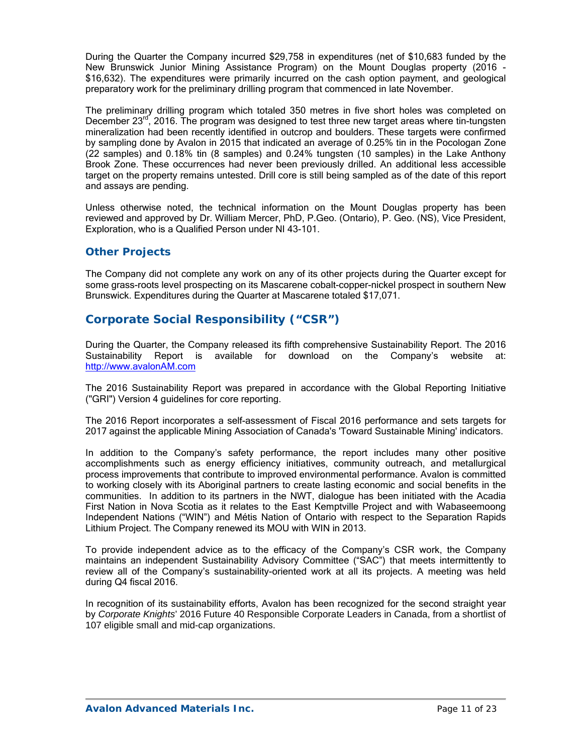During the Quarter the Company incurred \$29,758 in expenditures (net of \$10,683 funded by the New Brunswick Junior Mining Assistance Program) on the Mount Douglas property (2016 - \$16,632). The expenditures were primarily incurred on the cash option payment, and geological preparatory work for the preliminary drilling program that commenced in late November.

The preliminary drilling program which totaled 350 metres in five short holes was completed on December  $23^{\text{rd}}$ , 2016. The program was designed to test three new target areas where tin-tungsten mineralization had been recently identified in outcrop and boulders. These targets were confirmed by sampling done by Avalon in 2015 that indicated an average of 0.25% tin in the Pocologan Zone (22 samples) and 0.18% tin (8 samples) and 0.24% tungsten (10 samples) in the Lake Anthony Brook Zone. These occurrences had never been previously drilled. An additional less accessible target on the property remains untested. Drill core is still being sampled as of the date of this report and assays are pending.

Unless otherwise noted, the technical information on the Mount Douglas property has been reviewed and approved by Dr. William Mercer, PhD, P.Geo. (Ontario), P. Geo. (NS), Vice President, Exploration, who is a Qualified Person under NI 43-101.

## *Other Projects*

The Company did not complete any work on any of its other projects during the Quarter except for some grass-roots level prospecting on its Mascarene cobalt-copper-nickel prospect in southern New Brunswick. Expenditures during the Quarter at Mascarene totaled \$17,071.

# **Corporate Social Responsibility ("CSR")**

During the Quarter, the Company released its fifth comprehensive Sustainability Report. The 2016 Sustainability Report is available for download on the Company's website at: http://www.avalonAM.com

The 2016 Sustainability Report was prepared in accordance with the Global Reporting Initiative ("GRI") Version 4 guidelines for core reporting.

The 2016 Report incorporates a self-assessment of Fiscal 2016 performance and sets targets for 2017 against the applicable Mining Association of Canada's 'Toward Sustainable Mining' indicators.

In addition to the Company's safety performance, the report includes many other positive accomplishments such as energy efficiency initiatives, community outreach, and metallurgical process improvements that contribute to improved environmental performance. Avalon is committed to working closely with its Aboriginal partners to create lasting economic and social benefits in the communities. In addition to its partners in the NWT, dialogue has been initiated with the Acadia First Nation in Nova Scotia as it relates to the East Kemptville Project and with Wabaseemoong Independent Nations ("WIN") and Métis Nation of Ontario with respect to the Separation Rapids Lithium Project. The Company renewed its MOU with WIN in 2013.

To provide independent advice as to the efficacy of the Company's CSR work, the Company maintains an independent Sustainability Advisory Committee ("SAC") that meets intermittently to review all of the Company's sustainability-oriented work at all its projects. A meeting was held during Q4 fiscal 2016.

In recognition of its sustainability efforts, Avalon has been recognized for the second straight year by *Corporate Knights*' 2016 Future 40 Responsible Corporate Leaders in Canada, from a shortlist of 107 eligible small and mid-cap organizations.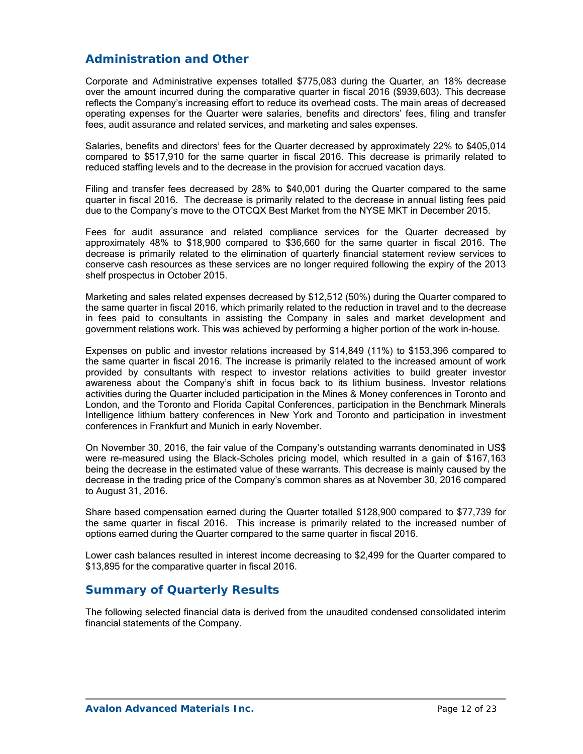# **Administration and Other**

Corporate and Administrative expenses totalled \$775,083 during the Quarter, an 18% decrease over the amount incurred during the comparative quarter in fiscal 2016 (\$939,603). This decrease reflects the Company's increasing effort to reduce its overhead costs. The main areas of decreased operating expenses for the Quarter were salaries, benefits and directors' fees, filing and transfer fees, audit assurance and related services, and marketing and sales expenses.

Salaries, benefits and directors' fees for the Quarter decreased by approximately 22% to \$405,014 compared to \$517,910 for the same quarter in fiscal 2016. This decrease is primarily related to reduced staffing levels and to the decrease in the provision for accrued vacation days.

Filing and transfer fees decreased by 28% to \$40,001 during the Quarter compared to the same quarter in fiscal 2016. The decrease is primarily related to the decrease in annual listing fees paid due to the Company's move to the OTCQX Best Market from the NYSE MKT in December 2015.

Fees for audit assurance and related compliance services for the Quarter decreased by approximately 48% to \$18,900 compared to \$36,660 for the same quarter in fiscal 2016. The decrease is primarily related to the elimination of quarterly financial statement review services to conserve cash resources as these services are no longer required following the expiry of the 2013 shelf prospectus in October 2015.

Marketing and sales related expenses decreased by \$12,512 (50%) during the Quarter compared to the same quarter in fiscal 2016, which primarily related to the reduction in travel and to the decrease in fees paid to consultants in assisting the Company in sales and market development and government relations work. This was achieved by performing a higher portion of the work in-house.

Expenses on public and investor relations increased by \$14,849 (11%) to \$153,396 compared to the same quarter in fiscal 2016. The increase is primarily related to the increased amount of work provided by consultants with respect to investor relations activities to build greater investor awareness about the Company's shift in focus back to its lithium business. Investor relations activities during the Quarter included participation in the Mines & Money conferences in Toronto and London, and the Toronto and Florida Capital Conferences, participation in the Benchmark Minerals Intelligence lithium battery conferences in New York and Toronto and participation in investment conferences in Frankfurt and Munich in early November.

On November 30, 2016, the fair value of the Company's outstanding warrants denominated in US\$ were re-measured using the Black-Scholes pricing model, which resulted in a gain of \$167,163 being the decrease in the estimated value of these warrants. This decrease is mainly caused by the decrease in the trading price of the Company's common shares as at November 30, 2016 compared to August 31, 2016.

Share based compensation earned during the Quarter totalled \$128,900 compared to \$77,739 for the same quarter in fiscal 2016. This increase is primarily related to the increased number of options earned during the Quarter compared to the same quarter in fiscal 2016.

Lower cash balances resulted in interest income decreasing to \$2,499 for the Quarter compared to \$13,895 for the comparative quarter in fiscal 2016.

## **Summary of Quarterly Results**

The following selected financial data is derived from the unaudited condensed consolidated interim financial statements of the Company.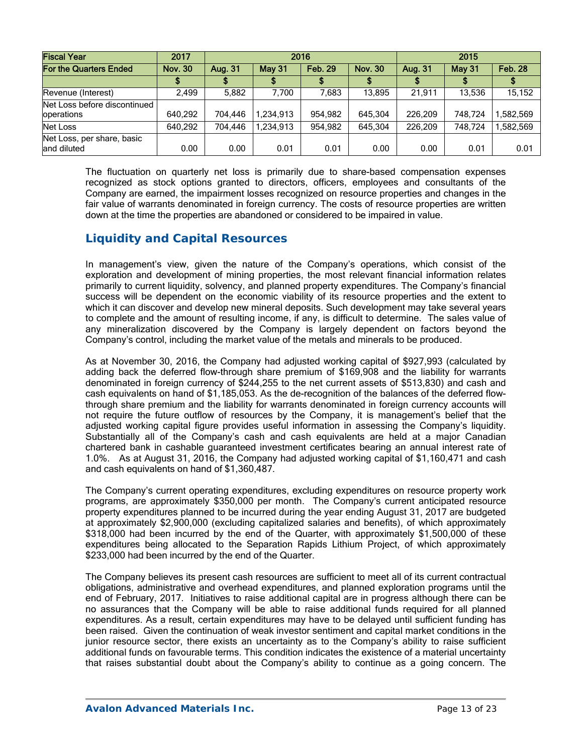| <b>Fiscal Year</b>                         | 2017           | 2016    |               |                |                | 2015    |         |                |
|--------------------------------------------|----------------|---------|---------------|----------------|----------------|---------|---------|----------------|
| For the Quarters Ended                     | <b>Nov. 30</b> | Aug. 31 | <b>May 31</b> | <b>Feb. 29</b> | <b>Nov. 30</b> | Aug. 31 | May 31  | <b>Feb. 28</b> |
|                                            |                |         |               |                |                |         |         |                |
| Revenue (Interest)                         | 2.499          | 5,882   | 7.700         | 7.683          | 13.895         | 21.911  | 13.536  | 15,152         |
| Net Loss before discontinued<br>operations | 640,292        | 704.446 | 234,913.ا     | 954.982        | 645.304        | 226.209 | 748.724 | .582.569       |
| Net Loss                                   | 640.292        | 704.446 | 1,234,913     | 954.982        | 645.304        | 226.209 | 748.724 | ,582,569       |
| Net Loss, per share, basic<br>land diluted | 0.00           | 0.00    | 0.01          | 0.01           | 0.00           | 0.00    | 0.01    | 0.01           |

The fluctuation on quarterly net loss is primarily due to share-based compensation expenses recognized as stock options granted to directors, officers, employees and consultants of the Company are earned, the impairment losses recognized on resource properties and changes in the fair value of warrants denominated in foreign currency. The costs of resource properties are written down at the time the properties are abandoned or considered to be impaired in value.

# **Liquidity and Capital Resources**

In management's view, given the nature of the Company's operations, which consist of the exploration and development of mining properties, the most relevant financial information relates primarily to current liquidity, solvency, and planned property expenditures. The Company's financial success will be dependent on the economic viability of its resource properties and the extent to which it can discover and develop new mineral deposits. Such development may take several years to complete and the amount of resulting income, if any, is difficult to determine. The sales value of any mineralization discovered by the Company is largely dependent on factors beyond the Company's control, including the market value of the metals and minerals to be produced.

As at November 30, 2016, the Company had adjusted working capital of \$927,993 (calculated by adding back the deferred flow-through share premium of \$169,908 and the liability for warrants denominated in foreign currency of \$244,255 to the net current assets of \$513,830) and cash and cash equivalents on hand of \$1,185,053. As the de-recognition of the balances of the deferred flowthrough share premium and the liability for warrants denominated in foreign currency accounts will not require the future outflow of resources by the Company, it is management's belief that the adjusted working capital figure provides useful information in assessing the Company's liquidity. Substantially all of the Company's cash and cash equivalents are held at a major Canadian chartered bank in cashable guaranteed investment certificates bearing an annual interest rate of 1.0%. As at August 31, 2016, the Company had adjusted working capital of \$1,160,471 and cash and cash equivalents on hand of \$1,360,487.

The Company's current operating expenditures, excluding expenditures on resource property work programs, are approximately \$350,000 per month. The Company's current anticipated resource property expenditures planned to be incurred during the year ending August 31, 2017 are budgeted at approximately \$2,900,000 (excluding capitalized salaries and benefits), of which approximately \$318,000 had been incurred by the end of the Quarter, with approximately \$1,500,000 of these expenditures being allocated to the Separation Rapids Lithium Project, of which approximately \$233,000 had been incurred by the end of the Quarter.

The Company believes its present cash resources are sufficient to meet all of its current contractual obligations, administrative and overhead expenditures, and planned exploration programs until the end of February, 2017. Initiatives to raise additional capital are in progress although there can be no assurances that the Company will be able to raise additional funds required for all planned expenditures. As a result, certain expenditures may have to be delayed until sufficient funding has been raised. Given the continuation of weak investor sentiment and capital market conditions in the junior resource sector, there exists an uncertainty as to the Company's ability to raise sufficient additional funds on favourable terms. This condition indicates the existence of a material uncertainty that raises substantial doubt about the Company's ability to continue as a going concern. The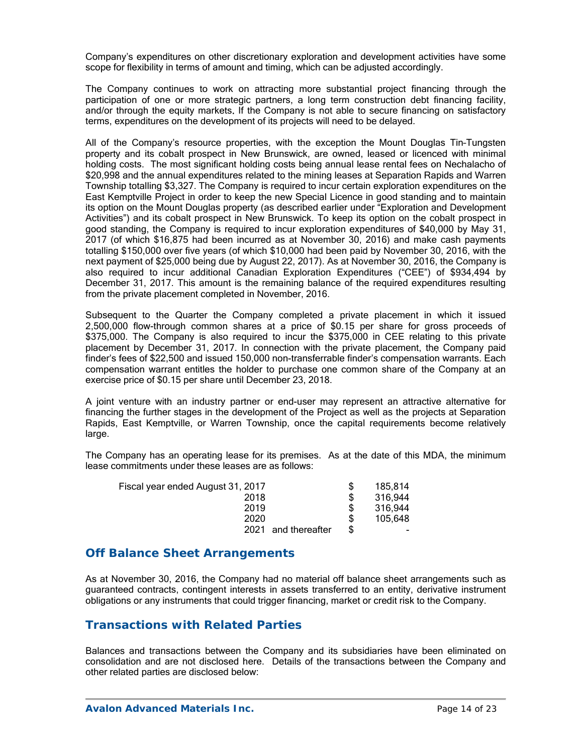Company's expenditures on other discretionary exploration and development activities have some scope for flexibility in terms of amount and timing, which can be adjusted accordingly.

The Company continues to work on attracting more substantial project financing through the participation of one or more strategic partners, a long term construction debt financing facility, and/or through the equity markets. If the Company is not able to secure financing on satisfactory terms, expenditures on the development of its projects will need to be delayed.

All of the Company's resource properties, with the exception the Mount Douglas Tin–Tungsten property and its cobalt prospect in New Brunswick, are owned, leased or licenced with minimal holding costs. The most significant holding costs being annual lease rental fees on Nechalacho of \$20,998 and the annual expenditures related to the mining leases at Separation Rapids and Warren Township totalling \$3,327. The Company is required to incur certain exploration expenditures on the East Kemptville Project in order to keep the new Special Licence in good standing and to maintain its option on the Mount Douglas property (as described earlier under "Exploration and Development Activities") and its cobalt prospect in New Brunswick. To keep its option on the cobalt prospect in good standing, the Company is required to incur exploration expenditures of \$40,000 by May 31, 2017 (of which \$16,875 had been incurred as at November 30, 2016) and make cash payments totalling \$150,000 over five years (of which \$10,000 had been paid by November 30, 2016, with the next payment of \$25,000 being due by August 22, 2017). As at November 30, 2016, the Company is also required to incur additional Canadian Exploration Expenditures ("CEE") of \$934,494 by December 31, 2017. This amount is the remaining balance of the required expenditures resulting from the private placement completed in November, 2016.

Subsequent to the Quarter the Company completed a private placement in which it issued 2,500,000 flow-through common shares at a price of \$0.15 per share for gross proceeds of \$375,000. The Company is also required to incur the \$375,000 in CEE relating to this private placement by December 31, 2017. In connection with the private placement, the Company paid finder's fees of \$22,500 and issued 150,000 non-transferrable finder's compensation warrants. Each compensation warrant entitles the holder to purchase one common share of the Company at an exercise price of \$0.15 per share until December 23, 2018.

A joint venture with an industry partner or end-user may represent an attractive alternative for financing the further stages in the development of the Project as well as the projects at Separation Rapids, East Kemptville, or Warren Township, once the capital requirements become relatively large.

The Company has an operating lease for its premises. As at the date of this MDA, the minimum lease commitments under these leases are as follows:

| Fiscal year ended August 31, 2017 |     | 185.814 |
|-----------------------------------|-----|---------|
| 2018                              |     | 316,944 |
| 2019                              |     | 316.944 |
| 2020                              | £.  | 105.648 |
| and thereafter<br>2021            | \$. | -       |

## **Off Balance Sheet Arrangements**

As at November 30, 2016, the Company had no material off balance sheet arrangements such as guaranteed contracts, contingent interests in assets transferred to an entity, derivative instrument obligations or any instruments that could trigger financing, market or credit risk to the Company.

# **Transactions with Related Parties**

Balances and transactions between the Company and its subsidiaries have been eliminated on consolidation and are not disclosed here. Details of the transactions between the Company and other related parties are disclosed below: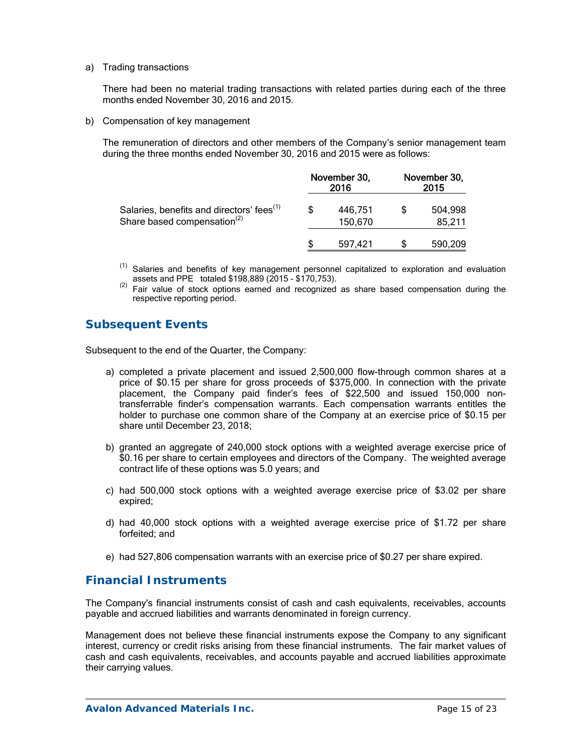a) Trading transactions

There had been no material trading transactions with related parties during each of the three months ended November 30, 2016 and 2015.

b) Compensation of key management

The remuneration of directors and other members of the Company's senior management team during the three months ended November 30, 2016 and 2015 were as follows:

|                                                                                                  | November 30,<br>2016 |                    | November 30,<br>2015 |                   |
|--------------------------------------------------------------------------------------------------|----------------------|--------------------|----------------------|-------------------|
| Salaries, benefits and directors' fees <sup>(1)</sup><br>Share based compensation <sup>(2)</sup> |                      | 446.751<br>150,670 |                      | 504,998<br>85,211 |
|                                                                                                  |                      | 597.421            |                      | 590.209           |

- <sup>(1)</sup> Salaries and benefits of key management personnel capitalized to exploration and evaluation assets and PPE totaled \$198,889 (2015 - \$170,753).<br><sup>(2)</sup> Fair value of stock options earned and recognized as share based compensation during the
- respective reporting period.

# **Subsequent Events**

Subsequent to the end of the Quarter, the Company:

- a) completed a private placement and issued 2,500,000 flow-through common shares at a price of \$0.15 per share for gross proceeds of \$375,000. In connection with the private placement, the Company paid finder's fees of \$22,500 and issued 150,000 nontransferrable finder's compensation warrants. Each compensation warrants entitles the holder to purchase one common share of the Company at an exercise price of \$0.15 per share until December 23, 2018;
- b) granted an aggregate of 240,000 stock options with a weighted average exercise price of \$0.16 per share to certain employees and directors of the Company. The weighted average contract life of these options was 5.0 years; and
- c) had 500,000 stock options with a weighted average exercise price of \$3.02 per share expired;
- d) had 40,000 stock options with a weighted average exercise price of \$1.72 per share forfeited; and
- e) had 527,806 compensation warrants with an exercise price of \$0.27 per share expired.

# **Financial Instruments**

The Company's financial instruments consist of cash and cash equivalents, receivables, accounts payable and accrued liabilities and warrants denominated in foreign currency.

Management does not believe these financial instruments expose the Company to any significant interest, currency or credit risks arising from these financial instruments. The fair market values of cash and cash equivalents, receivables, and accounts payable and accrued liabilities approximate their carrying values.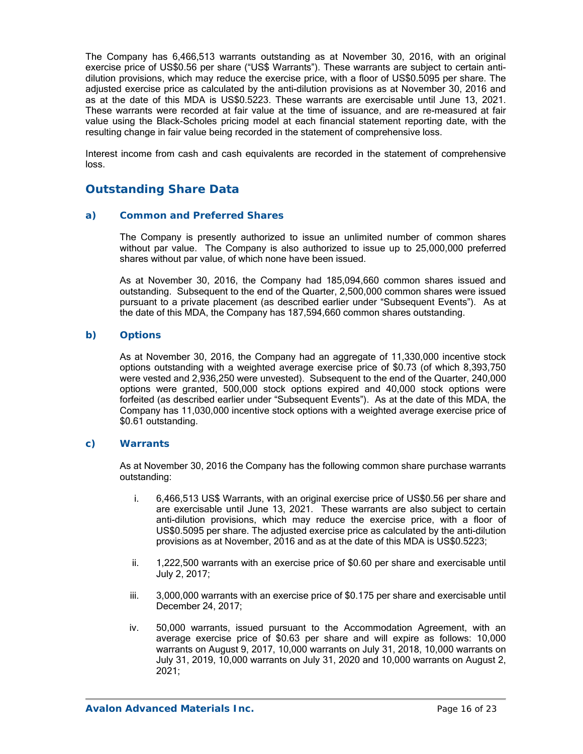The Company has 6,466,513 warrants outstanding as at November 30, 2016, with an original exercise price of US\$0.56 per share ("US\$ Warrants"). These warrants are subject to certain antidilution provisions, which may reduce the exercise price, with a floor of US\$0.5095 per share. The adjusted exercise price as calculated by the anti-dilution provisions as at November 30, 2016 and as at the date of this MDA is US\$0.5223. These warrants are exercisable until June 13, 2021. These warrants were recorded at fair value at the time of issuance, and are re-measured at fair value using the Black-Scholes pricing model at each financial statement reporting date, with the resulting change in fair value being recorded in the statement of comprehensive loss.

Interest income from cash and cash equivalents are recorded in the statement of comprehensive loss.

# **Outstanding Share Data**

### *a) Common and Preferred Shares*

The Company is presently authorized to issue an unlimited number of common shares without par value. The Company is also authorized to issue up to 25,000,000 preferred shares without par value, of which none have been issued.

As at November 30, 2016, the Company had 185,094,660 common shares issued and outstanding. Subsequent to the end of the Quarter, 2,500,000 common shares were issued pursuant to a private placement (as described earlier under "Subsequent Events"). As at the date of this MDA, the Company has 187,594,660 common shares outstanding.

### *b) Options*

As at November 30, 2016, the Company had an aggregate of 11,330,000 incentive stock options outstanding with a weighted average exercise price of \$0.73 (of which 8,393,750 were vested and 2,936,250 were unvested). Subsequent to the end of the Quarter, 240,000 options were granted, 500,000 stock options expired and 40,000 stock options were forfeited (as described earlier under "Subsequent Events"). As at the date of this MDA, the Company has 11,030,000 incentive stock options with a weighted average exercise price of \$0.61 outstanding.

### *c) Warrants*

As at November 30, 2016 the Company has the following common share purchase warrants outstanding:

- i. 6,466,513 US\$ Warrants, with an original exercise price of US\$0.56 per share and are exercisable until June 13, 2021. These warrants are also subject to certain anti-dilution provisions, which may reduce the exercise price, with a floor of US\$0.5095 per share. The adjusted exercise price as calculated by the anti-dilution provisions as at November, 2016 and as at the date of this MDA is US\$0.5223;
- ii. 1,222,500 warrants with an exercise price of \$0.60 per share and exercisable until July 2, 2017;
- iii. 3,000,000 warrants with an exercise price of \$0.175 per share and exercisable until December 24, 2017;
- iv. 50,000 warrants, issued pursuant to the Accommodation Agreement, with an average exercise price of \$0.63 per share and will expire as follows: 10,000 warrants on August 9, 2017, 10,000 warrants on July 31, 2018, 10,000 warrants on July 31, 2019, 10,000 warrants on July 31, 2020 and 10,000 warrants on August 2, 2021;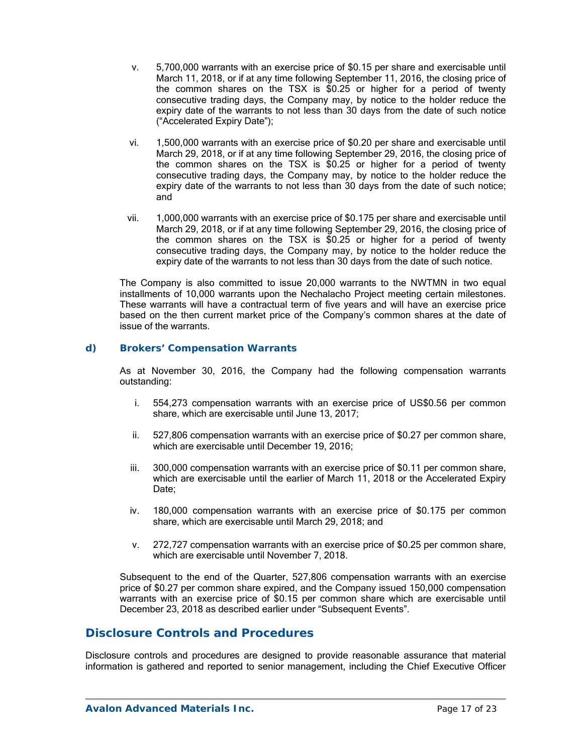- v. 5,700,000 warrants with an exercise price of \$0.15 per share and exercisable until March 11, 2018, or if at any time following September 11, 2016, the closing price of the common shares on the TSX is \$0.25 or higher for a period of twenty consecutive trading days, the Company may, by notice to the holder reduce the expiry date of the warrants to not less than 30 days from the date of such notice ("Accelerated Expiry Date");
- vi. 1,500,000 warrants with an exercise price of \$0.20 per share and exercisable until March 29, 2018, or if at any time following September 29, 2016, the closing price of the common shares on the TSX is \$0.25 or higher for a period of twenty consecutive trading days, the Company may, by notice to the holder reduce the expiry date of the warrants to not less than 30 days from the date of such notice; and
- vii. 1,000,000 warrants with an exercise price of \$0.175 per share and exercisable until March 29, 2018, or if at any time following September 29, 2016, the closing price of the common shares on the TSX is \$0.25 or higher for a period of twenty consecutive trading days, the Company may, by notice to the holder reduce the expiry date of the warrants to not less than 30 days from the date of such notice.

The Company is also committed to issue 20,000 warrants to the NWTMN in two equal installments of 10,000 warrants upon the Nechalacho Project meeting certain milestones. These warrants will have a contractual term of five years and will have an exercise price based on the then current market price of the Company's common shares at the date of issue of the warrants.

## *d) Brokers' Compensation Warrants*

As at November 30, 2016, the Company had the following compensation warrants outstanding:

- i. 554,273 compensation warrants with an exercise price of US\$0.56 per common share, which are exercisable until June 13, 2017;
- ii. 527,806 compensation warrants with an exercise price of \$0.27 per common share, which are exercisable until December 19, 2016;
- iii. 300,000 compensation warrants with an exercise price of \$0.11 per common share, which are exercisable until the earlier of March 11, 2018 or the Accelerated Expiry Date:
- iv. 180,000 compensation warrants with an exercise price of \$0.175 per common share, which are exercisable until March 29, 2018; and
- v. 272,727 compensation warrants with an exercise price of \$0.25 per common share, which are exercisable until November 7, 2018.

Subsequent to the end of the Quarter, 527,806 compensation warrants with an exercise price of \$0.27 per common share expired, and the Company issued 150,000 compensation warrants with an exercise price of \$0.15 per common share which are exercisable until December 23, 2018 as described earlier under "Subsequent Events".

## **Disclosure Controls and Procedures**

Disclosure controls and procedures are designed to provide reasonable assurance that material information is gathered and reported to senior management, including the Chief Executive Officer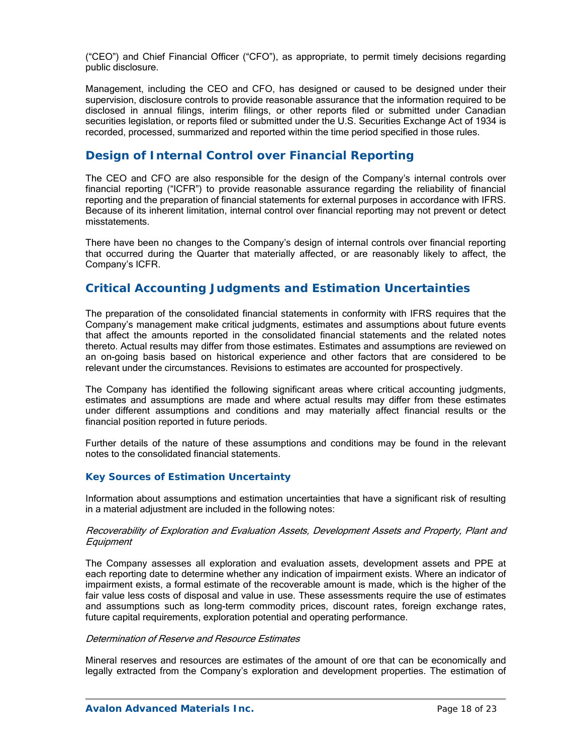("CEO") and Chief Financial Officer ("CFO"), as appropriate, to permit timely decisions regarding public disclosure.

Management, including the CEO and CFO, has designed or caused to be designed under their supervision, disclosure controls to provide reasonable assurance that the information required to be disclosed in annual filings, interim filings, or other reports filed or submitted under Canadian securities legislation, or reports filed or submitted under the U.S. Securities Exchange Act of 1934 is recorded, processed, summarized and reported within the time period specified in those rules.

# **Design of Internal Control over Financial Reporting**

The CEO and CFO are also responsible for the design of the Company's internal controls over financial reporting ("ICFR") to provide reasonable assurance regarding the reliability of financial reporting and the preparation of financial statements for external purposes in accordance with IFRS. Because of its inherent limitation, internal control over financial reporting may not prevent or detect misstatements.

There have been no changes to the Company's design of internal controls over financial reporting that occurred during the Quarter that materially affected, or are reasonably likely to affect, the Company's ICFR.

# **Critical Accounting Judgments and Estimation Uncertainties**

The preparation of the consolidated financial statements in conformity with IFRS requires that the Company's management make critical judgments, estimates and assumptions about future events that affect the amounts reported in the consolidated financial statements and the related notes thereto. Actual results may differ from those estimates. Estimates and assumptions are reviewed on an on-going basis based on historical experience and other factors that are considered to be relevant under the circumstances. Revisions to estimates are accounted for prospectively.

The Company has identified the following significant areas where critical accounting judgments, estimates and assumptions are made and where actual results may differ from these estimates under different assumptions and conditions and may materially affect financial results or the financial position reported in future periods.

Further details of the nature of these assumptions and conditions may be found in the relevant notes to the consolidated financial statements.

## *Key Sources of Estimation Uncertainty*

Information about assumptions and estimation uncertainties that have a significant risk of resulting in a material adjustment are included in the following notes:

#### Recoverability of Exploration and Evaluation Assets, Development Assets and Property, Plant and **Equipment**

The Company assesses all exploration and evaluation assets, development assets and PPE at each reporting date to determine whether any indication of impairment exists. Where an indicator of impairment exists, a formal estimate of the recoverable amount is made, which is the higher of the fair value less costs of disposal and value in use. These assessments require the use of estimates and assumptions such as long-term commodity prices, discount rates, foreign exchange rates, future capital requirements, exploration potential and operating performance.

### Determination of Reserve and Resource Estimates

Mineral reserves and resources are estimates of the amount of ore that can be economically and legally extracted from the Company's exploration and development properties. The estimation of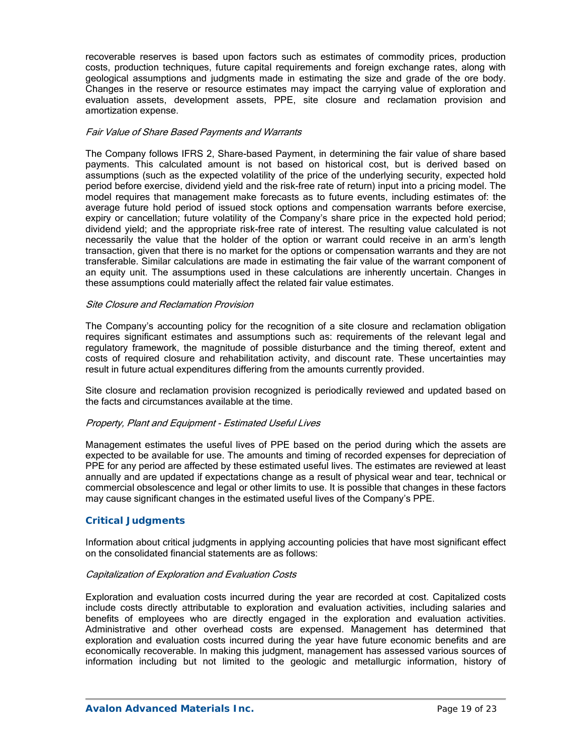recoverable reserves is based upon factors such as estimates of commodity prices, production costs, production techniques, future capital requirements and foreign exchange rates, along with geological assumptions and judgments made in estimating the size and grade of the ore body. Changes in the reserve or resource estimates may impact the carrying value of exploration and evaluation assets, development assets, PPE, site closure and reclamation provision and amortization expense.

#### Fair Value of Share Based Payments and Warrants

The Company follows IFRS 2, Share-based Payment, in determining the fair value of share based payments. This calculated amount is not based on historical cost, but is derived based on assumptions (such as the expected volatility of the price of the underlying security, expected hold period before exercise, dividend yield and the risk-free rate of return) input into a pricing model. The model requires that management make forecasts as to future events, including estimates of: the average future hold period of issued stock options and compensation warrants before exercise, expiry or cancellation; future volatility of the Company's share price in the expected hold period; dividend yield; and the appropriate risk-free rate of interest. The resulting value calculated is not necessarily the value that the holder of the option or warrant could receive in an arm's length transaction, given that there is no market for the options or compensation warrants and they are not transferable. Similar calculations are made in estimating the fair value of the warrant component of an equity unit. The assumptions used in these calculations are inherently uncertain. Changes in these assumptions could materially affect the related fair value estimates.

#### Site Closure and Reclamation Provision

The Company's accounting policy for the recognition of a site closure and reclamation obligation requires significant estimates and assumptions such as: requirements of the relevant legal and regulatory framework, the magnitude of possible disturbance and the timing thereof, extent and costs of required closure and rehabilitation activity, and discount rate. These uncertainties may result in future actual expenditures differing from the amounts currently provided.

Site closure and reclamation provision recognized is periodically reviewed and updated based on the facts and circumstances available at the time.

### Property, Plant and Equipment - Estimated Useful Lives

Management estimates the useful lives of PPE based on the period during which the assets are expected to be available for use. The amounts and timing of recorded expenses for depreciation of PPE for any period are affected by these estimated useful lives. The estimates are reviewed at least annually and are updated if expectations change as a result of physical wear and tear, technical or commercial obsolescence and legal or other limits to use. It is possible that changes in these factors may cause significant changes in the estimated useful lives of the Company's PPE.

### *Critical Judgments*

Information about critical judgments in applying accounting policies that have most significant effect on the consolidated financial statements are as follows:

#### Capitalization of Exploration and Evaluation Costs

Exploration and evaluation costs incurred during the year are recorded at cost. Capitalized costs include costs directly attributable to exploration and evaluation activities, including salaries and benefits of employees who are directly engaged in the exploration and evaluation activities. Administrative and other overhead costs are expensed. Management has determined that exploration and evaluation costs incurred during the year have future economic benefits and are economically recoverable. In making this judgment, management has assessed various sources of information including but not limited to the geologic and metallurgic information, history of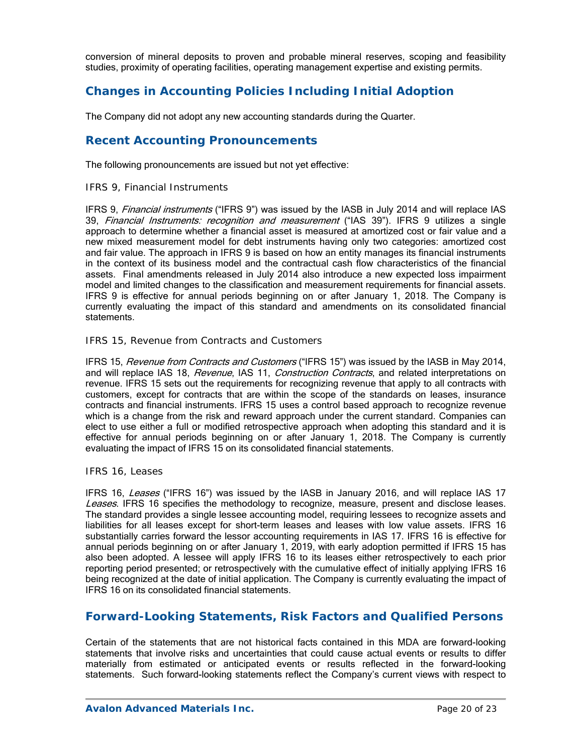conversion of mineral deposits to proven and probable mineral reserves, scoping and feasibility studies, proximity of operating facilities, operating management expertise and existing permits.

# **Changes in Accounting Policies Including Initial Adoption**

The Company did not adopt any new accounting standards during the Quarter.

## **Recent Accounting Pronouncements**

The following pronouncements are issued but not yet effective:

### *IFRS 9, Financial Instruments*

IFRS 9, Financial instruments ("IFRS 9") was issued by the IASB in July 2014 and will replace IAS 39, Financial Instruments: recognition and measurement ("IAS 39"). IFRS 9 utilizes a single approach to determine whether a financial asset is measured at amortized cost or fair value and a new mixed measurement model for debt instruments having only two categories: amortized cost and fair value. The approach in IFRS 9 is based on how an entity manages its financial instruments in the context of its business model and the contractual cash flow characteristics of the financial assets. Final amendments released in July 2014 also introduce a new expected loss impairment model and limited changes to the classification and measurement requirements for financial assets. IFRS 9 is effective for annual periods beginning on or after January 1, 2018. The Company is currently evaluating the impact of this standard and amendments on its consolidated financial statements.

### *IFRS 15, Revenue from Contracts and Customers*

IFRS 15, Revenue from Contracts and Customers ("IFRS 15") was issued by the IASB in May 2014, and will replace IAS 18, Revenue, IAS 11, Construction Contracts, and related interpretations on revenue. IFRS 15 sets out the requirements for recognizing revenue that apply to all contracts with customers, except for contracts that are within the scope of the standards on leases, insurance contracts and financial instruments. IFRS 15 uses a control based approach to recognize revenue which is a change from the risk and reward approach under the current standard. Companies can elect to use either a full or modified retrospective approach when adopting this standard and it is effective for annual periods beginning on or after January 1, 2018. The Company is currently evaluating the impact of IFRS 15 on its consolidated financial statements.

### *IFRS 16, Leases*

IFRS 16, Leases ("IFRS 16") was issued by the IASB in January 2016, and will replace IAS 17 Leases. IFRS 16 specifies the methodology to recognize, measure, present and disclose leases. The standard provides a single lessee accounting model, requiring lessees to recognize assets and liabilities for all leases except for short-term leases and leases with low value assets. IFRS 16 substantially carries forward the lessor accounting requirements in IAS 17. IFRS 16 is effective for annual periods beginning on or after January 1, 2019, with early adoption permitted if IFRS 15 has also been adopted. A lessee will apply IFRS 16 to its leases either retrospectively to each prior reporting period presented; or retrospectively with the cumulative effect of initially applying IFRS 16 being recognized at the date of initial application. The Company is currently evaluating the impact of IFRS 16 on its consolidated financial statements.

## **Forward-Looking Statements, Risk Factors and Qualified Persons**

Certain of the statements that are not historical facts contained in this MDA are forward-looking statements that involve risks and uncertainties that could cause actual events or results to differ materially from estimated or anticipated events or results reflected in the forward-looking statements. Such forward-looking statements reflect the Company's current views with respect to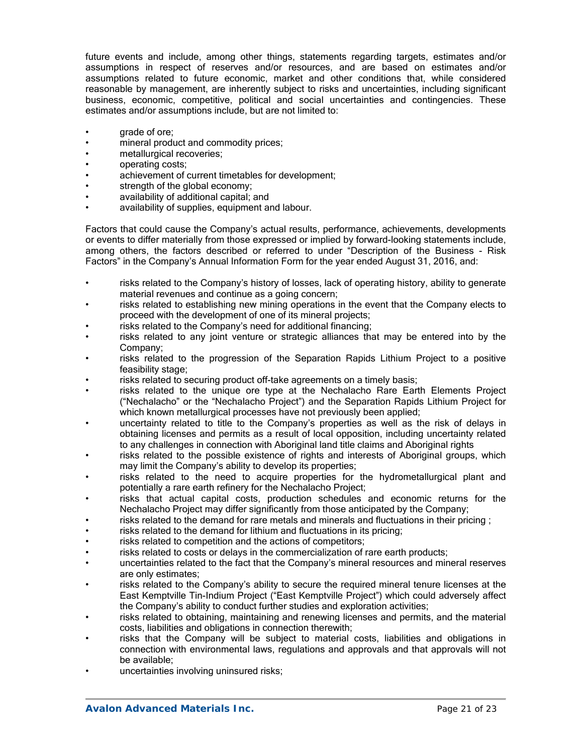future events and include, among other things, statements regarding targets, estimates and/or assumptions in respect of reserves and/or resources, and are based on estimates and/or assumptions related to future economic, market and other conditions that, while considered reasonable by management, are inherently subject to risks and uncertainties, including significant business, economic, competitive, political and social uncertainties and contingencies. These estimates and/or assumptions include, but are not limited to:

- grade of ore;
- mineral product and commodity prices:
- metallurgical recoveries;
- operating costs;
- achievement of current timetables for development;
- strength of the global economy:
- availability of additional capital; and
- availability of supplies, equipment and labour.

Factors that could cause the Company's actual results, performance, achievements, developments or events to differ materially from those expressed or implied by forward-looking statements include, among others, the factors described or referred to under "Description of the Business - Risk Factors" in the Company's Annual Information Form for the year ended August 31, 2016, and:

- risks related to the Company's history of losses, lack of operating history, ability to generate material revenues and continue as a going concern;
- risks related to establishing new mining operations in the event that the Company elects to proceed with the development of one of its mineral projects;
- risks related to the Company's need for additional financing;
- risks related to any joint venture or strategic alliances that may be entered into by the Company;
- risks related to the progression of the Separation Rapids Lithium Project to a positive feasibility stage;
- risks related to securing product off-take agreements on a timely basis;
- risks related to the unique ore type at the Nechalacho Rare Earth Elements Project ("Nechalacho" or the "Nechalacho Project") and the Separation Rapids Lithium Project for which known metallurgical processes have not previously been applied;
- uncertainty related to title to the Company's properties as well as the risk of delays in obtaining licenses and permits as a result of local opposition, including uncertainty related to any challenges in connection with Aboriginal land title claims and Aboriginal rights
- risks related to the possible existence of rights and interests of Aboriginal groups, which may limit the Company's ability to develop its properties;
- risks related to the need to acquire properties for the hydrometallurgical plant and potentially a rare earth refinery for the Nechalacho Project;
- risks that actual capital costs, production schedules and economic returns for the Nechalacho Project may differ significantly from those anticipated by the Company;
- risks related to the demand for rare metals and minerals and fluctuations in their pricing :
- risks related to the demand for lithium and fluctuations in its pricing:
- risks related to competition and the actions of competitors;
- risks related to costs or delays in the commercialization of rare earth products;
- uncertainties related to the fact that the Company's mineral resources and mineral reserves are only estimates;
- risks related to the Company's ability to secure the required mineral tenure licenses at the East Kemptville Tin-Indium Project ("East Kemptville Project") which could adversely affect the Company's ability to conduct further studies and exploration activities;
- risks related to obtaining, maintaining and renewing licenses and permits, and the material costs, liabilities and obligations in connection therewith;
- risks that the Company will be subject to material costs, liabilities and obligations in connection with environmental laws, regulations and approvals and that approvals will not be available;
- uncertainties involving uninsured risks;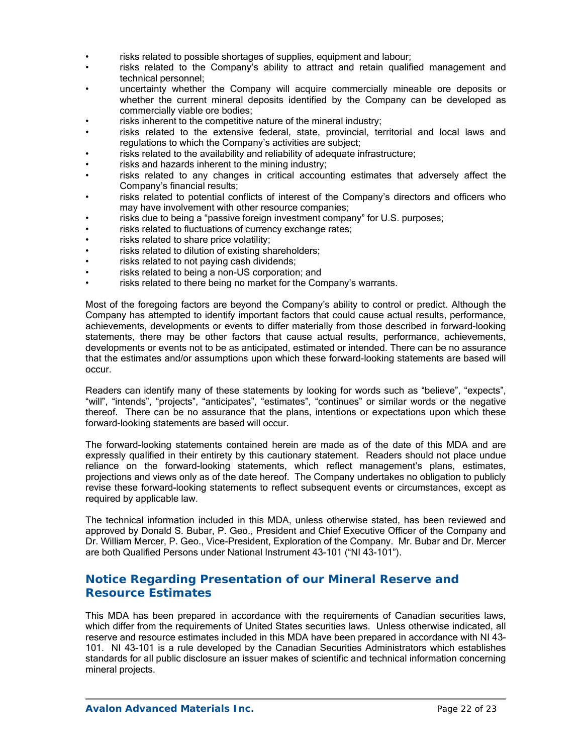- risks related to possible shortages of supplies, equipment and labour;
- risks related to the Company's ability to attract and retain qualified management and technical personnel;
- uncertainty whether the Company will acquire commercially mineable ore deposits or whether the current mineral deposits identified by the Company can be developed as commercially viable ore bodies;
- risks inherent to the competitive nature of the mineral industry;
- risks related to the extensive federal, state, provincial, territorial and local laws and regulations to which the Company's activities are subject;
- risks related to the availability and reliability of adequate infrastructure;
- risks and hazards inherent to the mining industry;
- risks related to any changes in critical accounting estimates that adversely affect the Company's financial results;
- risks related to potential conflicts of interest of the Company's directors and officers who may have involvement with other resource companies;
- risks due to being a "passive foreign investment company" for U.S. purposes;
- risks related to fluctuations of currency exchange rates;
- risks related to share price volatility;
- risks related to dilution of existing shareholders;
- risks related to not paying cash dividends;
- risks related to being a non-US corporation; and
- risks related to there being no market for the Company's warrants.

Most of the foregoing factors are beyond the Company's ability to control or predict. Although the Company has attempted to identify important factors that could cause actual results, performance, achievements, developments or events to differ materially from those described in forward-looking statements, there may be other factors that cause actual results, performance, achievements, developments or events not to be as anticipated, estimated or intended. There can be no assurance that the estimates and/or assumptions upon which these forward-looking statements are based will occur.

Readers can identify many of these statements by looking for words such as "believe", "expects", "will", "intends", "projects", "anticipates", "estimates", "continues" or similar words or the negative thereof. There can be no assurance that the plans, intentions or expectations upon which these forward-looking statements are based will occur.

The forward-looking statements contained herein are made as of the date of this MDA and are expressly qualified in their entirety by this cautionary statement. Readers should not place undue reliance on the forward-looking statements, which reflect management's plans, estimates, projections and views only as of the date hereof. The Company undertakes no obligation to publicly revise these forward-looking statements to reflect subsequent events or circumstances, except as required by applicable law.

The technical information included in this MDA, unless otherwise stated, has been reviewed and approved by Donald S. Bubar, P. Geo., President and Chief Executive Officer of the Company and Dr. William Mercer, P. Geo., Vice-President, Exploration of the Company. Mr. Bubar and Dr. Mercer are both Qualified Persons under National Instrument 43-101 ("NI 43-101").

# **Notice Regarding Presentation of our Mineral Reserve and Resource Estimates**

This MDA has been prepared in accordance with the requirements of Canadian securities laws, which differ from the requirements of United States securities laws. Unless otherwise indicated, all reserve and resource estimates included in this MDA have been prepared in accordance with NI 43- 101. NI 43-101 is a rule developed by the Canadian Securities Administrators which establishes standards for all public disclosure an issuer makes of scientific and technical information concerning mineral projects.